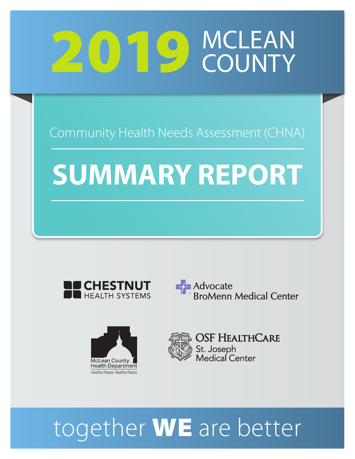## 2019 MCLEAN **COUNTY**

Community Health Needs Assessment (CHNA)

# **SUMMARY REPORT**









OSF HealthCare St. Joseph<br>Medical Center

# together **WE** are better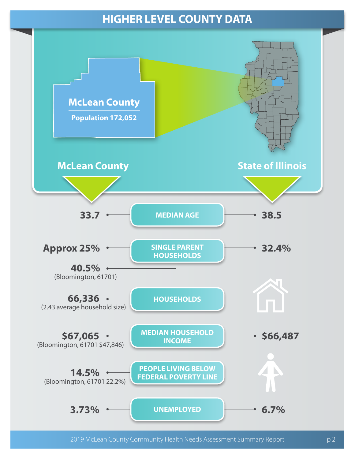## **HIGHER LEVEL COUNTY DATA**

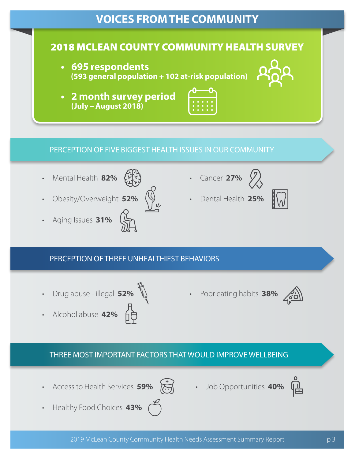## **VOICES FROM THE COMMUNITY**

### 2018 MCLEAN COUNTY COMMUNITY HEALTH SURVEY

- **• 695 respondents (593 general population + 102 at-risk population)**
- **• 2 month survey period (July – August 2018)**



#### PERCEPTION OF FIVE BIGGEST HEALTH ISSUES IN OUR COMMUNITY

- Mental Health 82% Err.
- Obesity/Overweight **52%**
- Aging Issues **31%**
- 
- Cancer **27%**
- Dental Health **25%**



#### PERCEPTION OF THREE UNHEALTHIEST BEHAVIORS

- Drug abuse illegal **52%**
- Alcohol abuse **42%**
- Poor eating habits **38%**



#### THREE MOST IMPORTANT FACTORS THAT WOULD IMPROVE WELLBEING

• Access to Health Services 59% **America Composition 19%** 





• Healthy Food Choices **43%**

![](_page_2_Picture_24.jpeg)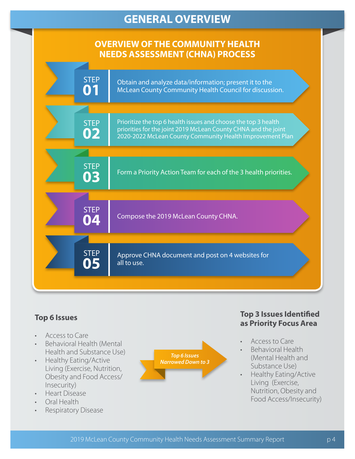## **GENERAL OVERVIEW**

#### **OVERVIEW OF THE COMMUNITY HEALTH NEEDS ASSESSMENT (CHNA) PROCESS**

|  | <b>STEP</b><br>01 | Obtain and analyze data/information; present it to the<br>McLean County Community Health Council for discussion.                                                                              |
|--|-------------------|-----------------------------------------------------------------------------------------------------------------------------------------------------------------------------------------------|
|  |                   |                                                                                                                                                                                               |
|  | <b>STEP</b><br>02 | Prioritize the top 6 health issues and choose the top 3 health<br>priorities for the joint 2019 McLean County CHNA and the joint<br>2020-2022 McLean County Community Health Improvement Plan |
|  |                   |                                                                                                                                                                                               |
|  | <b>STEP</b><br>03 | Form a Priority Action Team for each of the 3 health priorities.                                                                                                                              |
|  |                   |                                                                                                                                                                                               |
|  | <b>STEP</b><br>04 | Compose the 2019 McLean County CHNA.                                                                                                                                                          |
|  |                   |                                                                                                                                                                                               |
|  | <b>STEP</b><br>05 | Approve CHNA document and post on 4 websites for<br>all to use.                                                                                                                               |
|  |                   |                                                                                                                                                                                               |

#### **Top 6 Issues**

- Access to Care
- Behavioral Health (Mental Health and Substance Use)
- Healthy Eating/Active Living (Exercise, Nutrition, Obesity and Food Access/ Insecurity)
- Heart Disease
- Oral Health
- Respiratory Disease

![](_page_3_Figure_10.jpeg)

#### **Top 3 Issues Identified as Priority Focus Area**

- Access to Care
- Behavioral Health (Mental Health and Substance Use)
- Healthy Eating/Active Living (Exercise, Nutrition, Obesity and Food Access/Insecurity)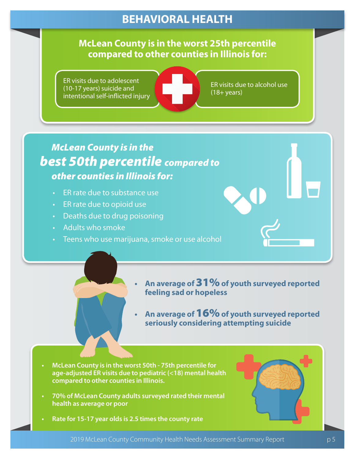## **BEHAVIORAL HEALTH**

#### **McLean County is in the worst 25th percentile compared to other counties in Illinois for:**

ER visits due to adolescent (10-17 years) suicide and intentional self-inflicted injury

ER visits due to alcohol use (18+ years)

## *McLean County is in the best 50th percentile compared to other counties in Illinois for:*

- ER rate due to substance use
- ER rate due to opioid use
- Deaths due to drug poisoning
- Adults who smoke
- Teens who use marijuana, smoke or use alcohol
	- **• An average of** 31% **of youth surveyed reported feeling sad or hopeless**
		- **• An average of** 16% **of youth surveyed reported seriously considering attempting suicide**
- **• McLean County is in the worst 50th 75th percentile for age-adjusted ER visits due to pediatric (<18) mental health compared to other counties in Illinois.**
- **• 70% of McLean County adults surveyed rated their mental health as average or poor**
- **• Rate for 15-17 year olds is 2.5 times the county rate**

![](_page_4_Picture_16.jpeg)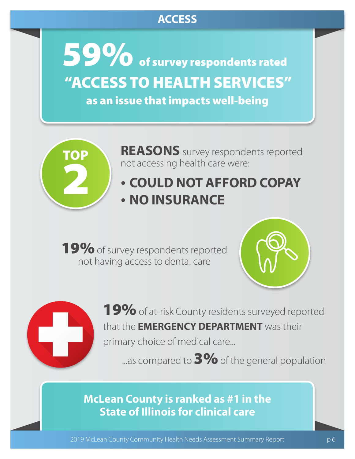## **ACCESS**

of survey respondents rated "ACCESS TO HEALTH SERVICES" as an issue that impacts well-being 59%

![](_page_5_Picture_2.jpeg)

**REASONS** survey respondents reported not accessing health care were:

## • **COULD NOT AFFORD COPAY** • **NO INSURANCE**

19% of survey respondents reported not having access to dental care

![](_page_5_Picture_6.jpeg)

![](_page_5_Picture_7.jpeg)

19% of at-risk County residents surveyed reported that the **EMERGENCY DEPARTMENT** was their primary choice of medical care...

...as compared to  $3\%$  of the general population

### **McLean County is ranked as #1 in the State of Illinois for clinical care**

2019 McLean County Community Health Needs Assessment Summary Report p 6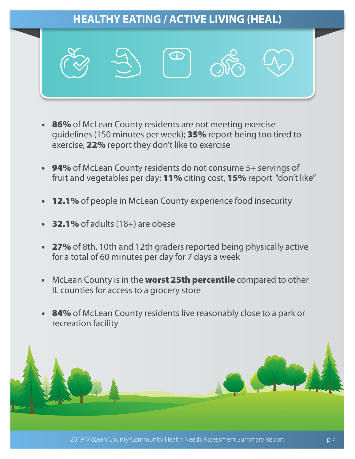![](_page_6_Picture_0.jpeg)

- 86% of McLean County residents are not meeting exercise guidelines (150 minutes per week); 35% report being too tired to exercise, 22% report they don't like to exercise
- 94% of McLean County residents do not consume 5+ servings of fruit and vegetables per day; 11% citing cost, 15% report "don't like"
- **12.1%** of people in McLean County experience food insecurity
- **32.1%** of adults (18+) are obese
- 27% of 8th, 10th and 12th graders reported being physically active for a total of 60 minutes per day for 7 days a week
- McLean County is in the worst 25th percentile compared to other IL counties for access to a grocery store
- **84%** of McLean County residents live reasonably close to a park or recreation facility